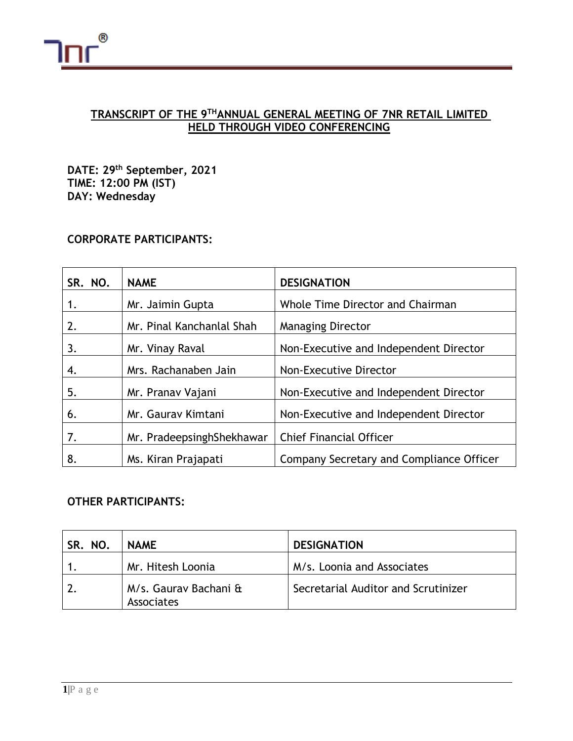

# **TRANSCRIPT OF THE 9 THANNUAL GENERAL MEETING OF 7NR RETAIL LIMITED HELD THROUGH VIDEO CONFERENCING**

**DATE: 29th September, 2021 TIME: 12:00 PM (IST) DAY: Wednesday**

## **CORPORATE PARTICIPANTS:**

| SR. NO. | <b>NAME</b>               | <b>DESIGNATION</b>                       |
|---------|---------------------------|------------------------------------------|
| 1.      | Mr. Jaimin Gupta          | Whole Time Director and Chairman         |
| 2.      | Mr. Pinal Kanchanlal Shah | <b>Managing Director</b>                 |
| 3.      | Mr. Vinay Raval           | Non-Executive and Independent Director   |
| 4.      | Mrs. Rachanaben Jain      | Non-Executive Director                   |
| 5.      | Mr. Pranav Vajani         | Non-Executive and Independent Director   |
| 6.      | Mr. Gaurav Kimtani        | Non-Executive and Independent Director   |
| 7.      | Mr. PradeepsinghShekhawar | <b>Chief Financial Officer</b>           |
| 8.      | Ms. Kiran Prajapati       | Company Secretary and Compliance Officer |

# **OTHER PARTICIPANTS:**

| SR. NO. | <b>NAME</b>                         | <b>DESIGNATION</b>                  |
|---------|-------------------------------------|-------------------------------------|
|         | Mr. Hitesh Loonia                   | M/s. Loonia and Associates          |
|         | M/s. Gauray Bachani &<br>Associates | Secretarial Auditor and Scrutinizer |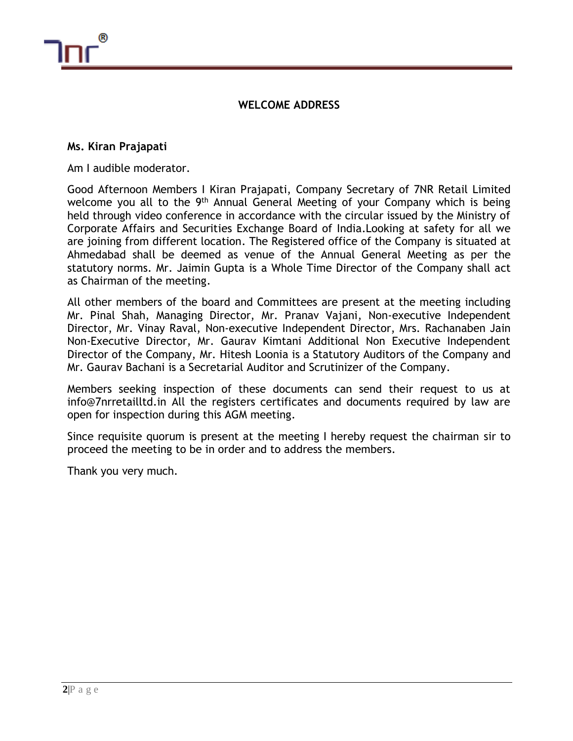

### **WELCOME ADDRESS**

#### **Ms. Kiran Prajapati**

Am I audible moderator.

Good Afternoon Members I Kiran Prajapati, Company Secretary of 7NR Retail Limited welcome you all to the 9<sup>th</sup> Annual General Meeting of your Company which is being held through video conference in accordance with the circular issued by the Ministry of Corporate Affairs and Securities Exchange Board of India.Looking at safety for all we are joining from different location. The Registered office of the Company is situated at Ahmedabad shall be deemed as venue of the Annual General Meeting as per the statutory norms. Mr. Jaimin Gupta is a Whole Time Director of the Company shall act as Chairman of the meeting.

All other members of the board and Committees are present at the meeting including Mr. Pinal Shah, Managing Director, Mr. Pranav Vajani, Non-executive Independent Director, Mr. Vinay Raval, Non-executive Independent Director, Mrs. Rachanaben Jain Non-Executive Director, Mr. Gaurav Kimtani Additional Non Executive Independent Director of the Company, Mr. Hitesh Loonia is a Statutory Auditors of the Company and Mr. Gaurav Bachani is a Secretarial Auditor and Scrutinizer of the Company.

Members seeking inspection of these documents can send their request to us at info@7nrretailltd.in All the registers certificates and documents required by law are open for inspection during this AGM meeting.

Since requisite quorum is present at the meeting I hereby request the chairman sir to proceed the meeting to be in order and to address the members.

Thank you very much.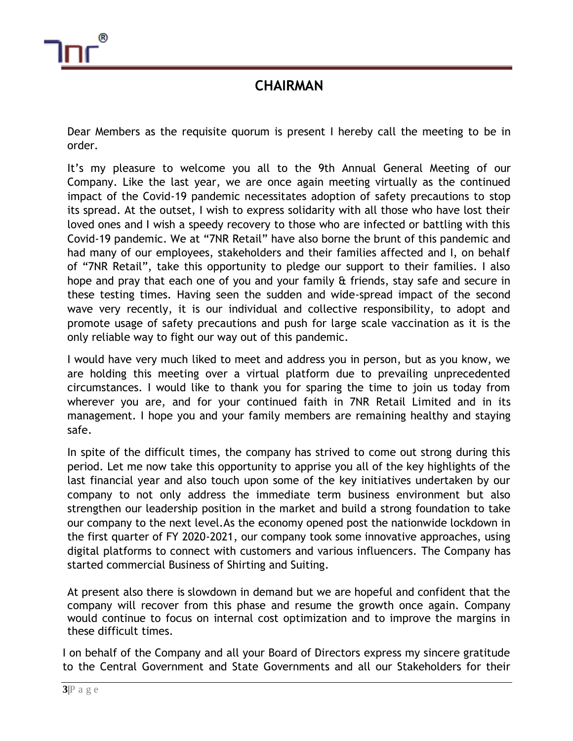

# **CHAIRMAN**

Dear Members as the requisite quorum is present I hereby call the meeting to be in order.

It's my pleasure to welcome you all to the 9th Annual General Meeting of our Company. Like the last year, we are once again meeting virtually as the continued impact of the Covid-19 pandemic necessitates adoption of safety precautions to stop its spread. At the outset, I wish to express solidarity with all those who have lost their loved ones and I wish a speedy recovery to those who are infected or battling with this Covid-19 pandemic. We at "7NR Retail" have also borne the brunt of this pandemic and had many of our employees, stakeholders and their families affected and I, on behalf of "7NR Retail", take this opportunity to pledge our support to their families. I also hope and pray that each one of you and your family & friends, stay safe and secure in these testing times. Having seen the sudden and wide-spread impact of the second wave very recently, it is our individual and collective responsibility, to adopt and promote usage of safety precautions and push for large scale vaccination as it is the only reliable way to fight our way out of this pandemic.

I would have very much liked to meet and address you in person, but as you know, we are holding this meeting over a virtual platform due to prevailing unprecedented circumstances. I would like to thank you for sparing the time to join us today from wherever you are, and for your continued faith in 7NR Retail Limited and in its management. I hope you and your family members are remaining healthy and staying safe.

In spite of the difficult times, the company has strived to come out strong during this period. Let me now take this opportunity to apprise you all of the key highlights of the last financial year and also touch upon some of the key initiatives undertaken by our company to not only address the immediate term business environment but also strengthen our leadership position in the market and build a strong foundation to take our company to the next level.As the economy opened post the nationwide lockdown in the first quarter of FY 2020-2021, our company took some innovative approaches, using digital platforms to connect with customers and various influencers. The Company has started commercial Business of Shirting and Suiting.

At present also there is slowdown in demand but we are hopeful and confident that the company will recover from this phase and resume the growth once again. Company would continue to focus on internal cost optimization and to improve the margins in these difficult times.

I on behalf of the Company and all your Board of Directors express my sincere gratitude to the Central Government and State Governments and all our Stakeholders for their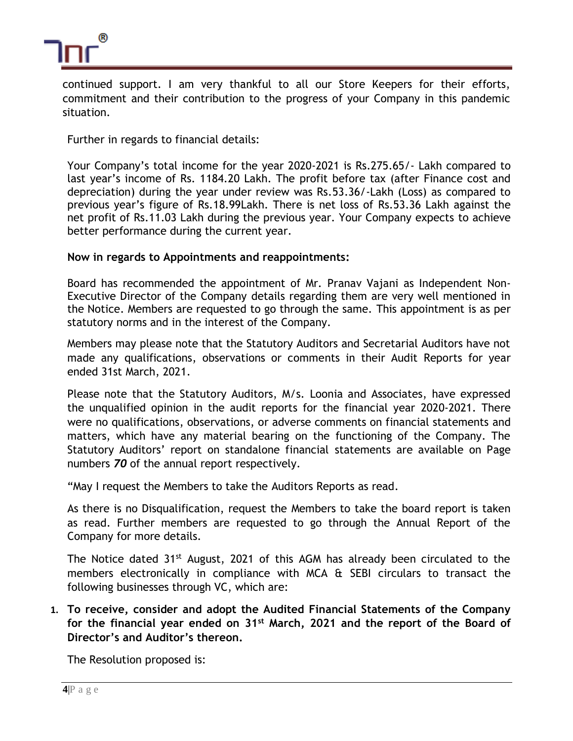

continued support. I am very thankful to all our Store Keepers for their efforts, commitment and their contribution to the progress of your Company in this pandemic situation.

Further in regards to financial details:

Your Company's total income for the year 2020-2021 is Rs.275.65/- Lakh compared to last year's income of Rs. 1184.20 Lakh. The profit before tax (after Finance cost and depreciation) during the year under review was Rs.53.36/-Lakh (Loss) as compared to previous year's figure of Rs.18.99Lakh. There is net loss of Rs.53.36 Lakh against the net profit of Rs.11.03 Lakh during the previous year. Your Company expects to achieve better performance during the current year.

### **Now in regards to Appointments and reappointments:**

Board has recommended the appointment of Mr. Pranav Vajani as Independent Non-Executive Director of the Company details regarding them are very well mentioned in the Notice. Members are requested to go through the same. This appointment is as per statutory norms and in the interest of the Company.

Members may please note that the Statutory Auditors and Secretarial Auditors have not made any qualifications, observations or comments in their Audit Reports for year ended 31st March, 2021.

Please note that the Statutory Auditors, M/s. Loonia and Associates, have expressed the unqualified opinion in the audit reports for the financial year 2020-2021. There were no qualifications, observations, or adverse comments on financial statements and matters, which have any material bearing on the functioning of the Company. The Statutory Auditors' report on standalone financial statements are available on Page numbers *70* of the annual report respectively.

"May I request the Members to take the Auditors Reports as read.

As there is no Disqualification, request the Members to take the board report is taken as read. Further members are requested to go through the Annual Report of the Company for more details.

The Notice dated 31<sup>st</sup> August, 2021 of this AGM has already been circulated to the members electronically in compliance with MCA & SEBI circulars to transact the following businesses through VC, which are:

**1. To receive, consider and adopt the Audited Financial Statements of the Company for the financial year ended on 31st March, 2021 and the report of the Board of Director's and Auditor's thereon.**

The Resolution proposed is: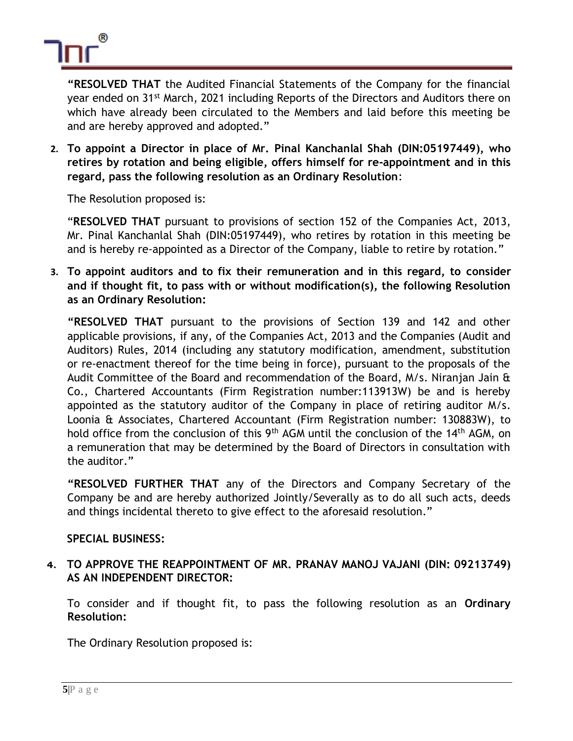

**"RESOLVED THAT** the Audited Financial Statements of the Company for the financial year ended on 31st March, 2021 including Reports of the Directors and Auditors there on which have already been circulated to the Members and laid before this meeting be and are hereby approved and adopted."

**2. To appoint a Director in place of Mr. Pinal Kanchanlal Shah (DIN:05197449), who retires by rotation and being eligible, offers himself for re-appointment and in this regard, pass the following resolution as an Ordinary Resolution**:

The Resolution proposed is:

"**RESOLVED THAT** pursuant to provisions of section 152 of the Companies Act, 2013, Mr. Pinal Kanchanlal Shah (DIN:05197449), who retires by rotation in this meeting be and is hereby re-appointed as a Director of the Company, liable to retire by rotation."

**3. To appoint auditors and to fix their remuneration and in this regard, to consider and if thought fit, to pass with or without modification(s), the following Resolution as an Ordinary Resolution:**

**"RESOLVED THAT** pursuant to the provisions of Section 139 and 142 and other applicable provisions, if any, of the Companies Act, 2013 and the Companies (Audit and Auditors) Rules, 2014 (including any statutory modification, amendment, substitution or re-enactment thereof for the time being in force), pursuant to the proposals of the Audit Committee of the Board and recommendation of the Board, M/s. Niranjan Jain & Co., Chartered Accountants (Firm Registration number:113913W) be and is hereby appointed as the statutory auditor of the Company in place of retiring auditor M/s. Loonia & Associates, Chartered Accountant (Firm Registration number: 130883W), to hold office from the conclusion of this 9<sup>th</sup> AGM until the conclusion of the 14<sup>th</sup> AGM, on a remuneration that may be determined by the Board of Directors in consultation with the auditor."

**"RESOLVED FURTHER THAT** any of the Directors and Company Secretary of the Company be and are hereby authorized Jointly/Severally as to do all such acts, deeds and things incidental thereto to give effect to the aforesaid resolution."

### **SPECIAL BUSINESS:**

## **4. TO APPROVE THE REAPPOINTMENT OF MR. PRANAV MANOJ VAJANI (DIN: 09213749) AS AN INDEPENDENT DIRECTOR:**

To consider and if thought fit, to pass the following resolution as an **Ordinary Resolution:**

The Ordinary Resolution proposed is: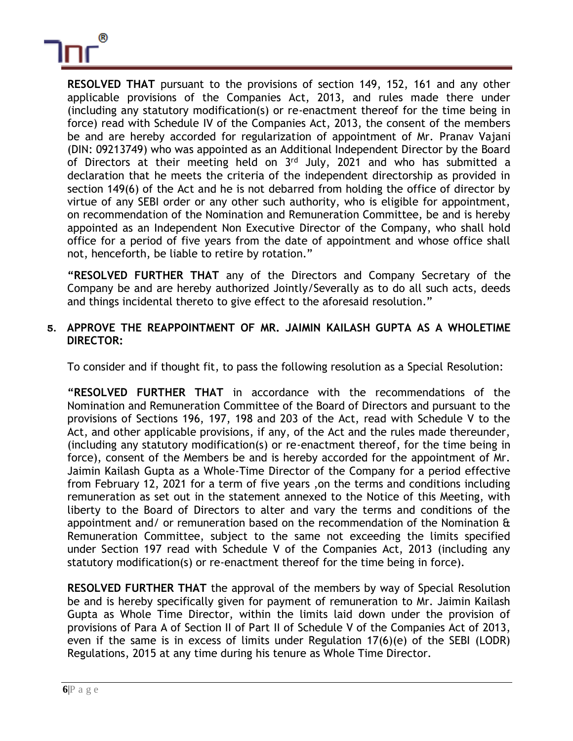

**RESOLVED THAT** pursuant to the provisions of section 149, 152, 161 and any other applicable provisions of the Companies Act, 2013, and rules made there under (including any statutory modification(s) or re-enactment thereof for the time being in force) read with Schedule IV of the Companies Act, 2013, the consent of the members be and are hereby accorded for regularization of appointment of Mr. Pranav Vajani (DIN: 09213749) who was appointed as an Additional Independent Director by the Board of Directors at their meeting held on 3<sup>rd</sup> July, 2021 and who has submitted a declaration that he meets the criteria of the independent directorship as provided in section 149(6) of the Act and he is not debarred from holding the office of director by virtue of any SEBI order or any other such authority, who is eligible for appointment, on recommendation of the Nomination and Remuneration Committee, be and is hereby appointed as an Independent Non Executive Director of the Company, who shall hold office for a period of five years from the date of appointment and whose office shall not, henceforth, be liable to retire by rotation."

**"RESOLVED FURTHER THAT** any of the Directors and Company Secretary of the Company be and are hereby authorized Jointly/Severally as to do all such acts, deeds and things incidental thereto to give effect to the aforesaid resolution."

### **5. APPROVE THE REAPPOINTMENT OF MR. JAIMIN KAILASH GUPTA AS A WHOLETIME DIRECTOR:**

To consider and if thought fit, to pass the following resolution as a Special Resolution:

**"RESOLVED FURTHER THAT** in accordance with the recommendations of the Nomination and Remuneration Committee of the Board of Directors and pursuant to the provisions of Sections 196, 197, 198 and 203 of the Act, read with Schedule V to the Act, and other applicable provisions, if any, of the Act and the rules made thereunder, (including any statutory modification(s) or re-enactment thereof, for the time being in force), consent of the Members be and is hereby accorded for the appointment of Mr. Jaimin Kailash Gupta as a Whole-Time Director of the Company for a period effective from February 12, 2021 for a term of five years ,on the terms and conditions including remuneration as set out in the statement annexed to the Notice of this Meeting, with liberty to the Board of Directors to alter and vary the terms and conditions of the appointment and/ or remuneration based on the recommendation of the Nomination & Remuneration Committee, subject to the same not exceeding the limits specified under Section 197 read with Schedule V of the Companies Act, 2013 (including any statutory modification(s) or re-enactment thereof for the time being in force).

**RESOLVED FURTHER THAT** the approval of the members by way of Special Resolution be and is hereby specifically given for payment of remuneration to Mr. Jaimin Kailash Gupta as Whole Time Director, within the limits laid down under the provision of provisions of Para A of Section II of Part II of Schedule V of the Companies Act of 2013, even if the same is in excess of limits under Regulation 17(6)(e) of the SEBI (LODR) Regulations, 2015 at any time during his tenure as Whole Time Director.